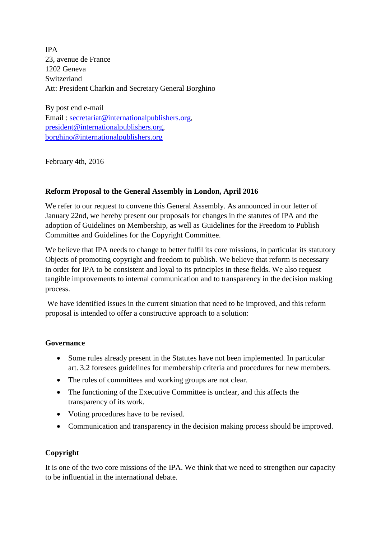IPA 23, avenue de France 1202 Geneva Switzerland Att: President Charkin and Secretary General Borghino

By post end e-mail Email: [secretariat@internationalpublishers.org,](mailto:secretariat@internationalpublishers.org) [president@internationalpublishers.org,](mailto:president@internationalpublishers.org) [borghino@internationalpublishers.org](mailto:borghino@internationalpublishers.org)

February 4th, 2016

## **Reform Proposal to the General Assembly in London, April 2016**

We refer to our request to convene this General Assembly. As announced in our letter of January 22nd, we hereby present our proposals for changes in the statutes of IPA and the adoption of Guidelines on Membership, as well as Guidelines for the Freedom to Publish Committee and Guidelines for the Copyright Committee.

We believe that IPA needs to change to better fulfil its core missions, in particular its statutory Objects of promoting copyright and freedom to publish. We believe that reform is necessary in order for IPA to be consistent and loyal to its principles in these fields. We also request tangible improvements to internal communication and to transparency in the decision making process.

We have identified issues in the current situation that need to be improved, and this reform proposal is intended to offer a constructive approach to a solution:

## **Governance**

- Some rules already present in the Statutes have not been implemented. In particular art. 3.2 foresees guidelines for membership criteria and procedures for new members.
- The roles of committees and working groups are not clear.
- The functioning of the Executive Committee is unclear, and this affects the transparency of its work.
- Voting procedures have to be revised.
- Communication and transparency in the decision making process should be improved.

# **Copyright**

It is one of the two core missions of the IPA. We think that we need to strengthen our capacity to be influential in the international debate.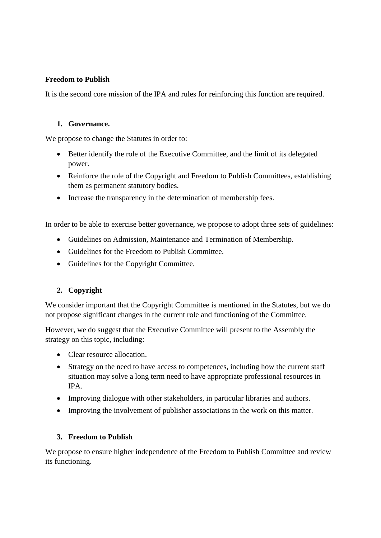## **Freedom to Publish**

It is the second core mission of the IPA and rules for reinforcing this function are required.

#### **1. Governance.**

We propose to change the Statutes in order to:

- Better identify the role of the Executive Committee, and the limit of its delegated power.
- Reinforce the role of the Copyright and Freedom to Publish Committees, establishing them as permanent statutory bodies.
- Increase the transparency in the determination of membership fees.

In order to be able to exercise better governance, we propose to adopt three sets of guidelines:

- Guidelines on Admission, Maintenance and Termination of Membership.
- Guidelines for the Freedom to Publish Committee.
- Guidelines for the Copyright Committee.

# **2. Copyright**

We consider important that the Copyright Committee is mentioned in the Statutes, but we do not propose significant changes in the current role and functioning of the Committee.

However, we do suggest that the Executive Committee will present to the Assembly the strategy on this topic, including:

- Clear resource allocation.
- Strategy on the need to have access to competences, including how the current staff situation may solve a long term need to have appropriate professional resources in IPA.
- Improving dialogue with other stakeholders, in particular libraries and authors.
- Improving the involvement of publisher associations in the work on this matter.

## **3. Freedom to Publish**

We propose to ensure higher independence of the Freedom to Publish Committee and review its functioning.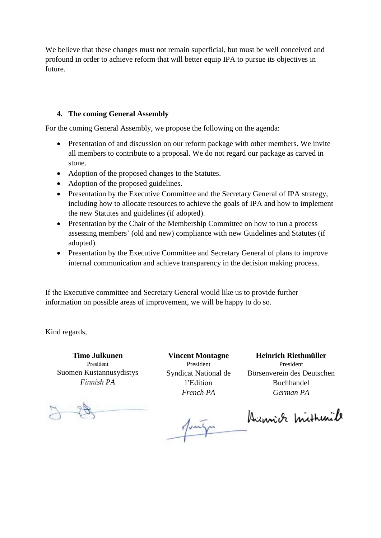We believe that these changes must not remain superficial, but must be well conceived and profound in order to achieve reform that will better equip IPA to pursue its objectives in future.

## **4. The coming General Assembly**

For the coming General Assembly, we propose the following on the agenda:

- Presentation of and discussion on our reform package with other members. We invite all members to contribute to a proposal. We do not regard our package as carved in stone.
- Adoption of the proposed changes to the Statutes.
- Adoption of the proposed guidelines.
- Presentation by the Executive Committee and the Secretary General of IPA strategy, including how to allocate resources to achieve the goals of IPA and how to implement the new Statutes and guidelines (if adopted).
- Presentation by the Chair of the Membership Committee on how to run a process assessing members' (old and new) compliance with new Guidelines and Statutes (if adopted).
- Presentation by the Executive Committee and Secretary General of plans to improve internal communication and achieve transparency in the decision making process.

If the Executive committee and Secretary General would like us to provide further information on possible areas of improvement, we will be happy to do so.

Kind regards,

**Timo Julkunen** President Suomen Kustannusydistys *Finnish PA*

**Vincent Montagne** President Syndicat National de l'Edition *French PA*

Jung

**Heinrich Riethmüller** President Börsenverein des Deutschen Buchhandel *German PA*

Dimich mithinile